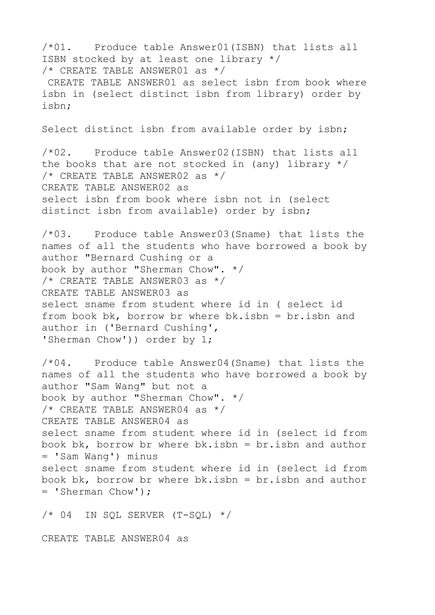/\*01. Produce table Answer01(ISBN) that lists all ISBN stocked by at least one library \*/ /\* CREATE TABLE ANSWER01 as \*/ CREATE TABLE ANSWER01 as select isbn from book where isbn in (select distinct isbn from library) order by isbn; Select distinct isbn from available order by isbn; /\*02. Produce table Answer02(ISBN) that lists all the books that are not stocked in (any) library  $*/$ /\* CREATE TABLE ANSWER02 as \*/ CREATE TABLE ANSWER02 as select isbn from book where isbn not in (select distinct isbn from available) order by isbn; /\*03. Produce table Answer03(Sname) that lists the names of all the students who have borrowed a book by author "Bernard Cushing or a book by author "Sherman Chow". \*/ /\* CREATE TABLE ANSWER03 as \*/ CREATE TABLE ANSWER03 as select sname from student where id in ( select id from book bk, borrow br where  $bk.isbn = br.isbn$  and author in ('Bernard Cushing', 'Sherman Chow')) order by 1; /\*04. Produce table Answer04(Sname) that lists the names of all the students who have borrowed a book by author "Sam Wang" but not a book by author "Sherman Chow". \*/  $/*$  CREATE TABLE ANSWER04 as  $*/$ CREATE TABLE ANSWER04 as select sname from student where id in (select id from book bk, borrow br where  $bk.isbn = br.isbn$  and author = 'Sam Wang') minus select sname from student where id in (select id from book bk, borrow br where  $bk.isbn = br.isbn$  and author = 'Sherman Chow');  $/* 04$  IN SQL SERVER (T-SQL)  $*/$ 

CREATE TABLE ANSWER04 as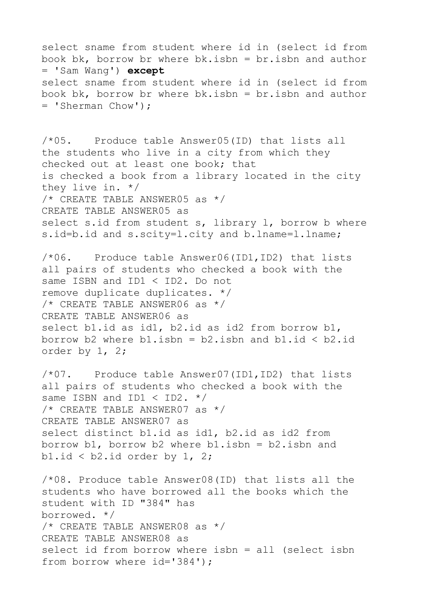select sname from student where id in (select id from book bk, borrow br where bk.isbn = br.isbn and author = 'Sam Wang') **except** select sname from student where id in (select id from book bk, borrow br where  $bk.isbn = br.isbn$  and author = 'Sherman Chow'); /\*05. Produce table Answer05(ID) that lists all the students who live in a city from which they checked out at least one book; that is checked a book from a library located in the city they live in. \*/ /\* CREATE TABLE ANSWER05 as \*/ CREATE TABLE ANSWER05 as select s.id from student s, library 1, borrow b where s.id=b.id and s.scity=1.city and b.lname=1.lname; /\*06. Produce table Answer06(ID1,ID2) that lists all pairs of students who checked a book with the same ISBN and ID1 < ID2. Do not remove duplicate duplicates. \*/ /\* CREATE TABLE ANSWER06 as \*/ CREATE TABLE ANSWER06 as select b1.id as id1, b2.id as id2 from borrow b1, borrow b2 where  $b1.isbn = b2.isbn$  and  $b1.id < b2.id$ order by 1, 2; /\*07. Produce table Answer07(ID1,ID2) that lists all pairs of students who checked a book with the same ISBN and ID1  $\lt$  ID2.  $*/$ /\* CREATE TABLE ANSWER07 as \*/ CREATE TABLE ANSWER07 as select distinct b1.id as id1, b2.id as id2 from borrow b1, borrow b2 where b1.isbn =  $b2$ .isbn and b1.id  $<$  b2.id order by 1, 2; /\*08. Produce table Answer08(ID) that lists all the students who have borrowed all the books which the student with ID "384" has borrowed. \*/ /\* CREATE TABLE ANSWER08 as \*/ CREATE TABLE ANSWER08 as select id from borrow where isbn = all (select isbn from borrow where id='384');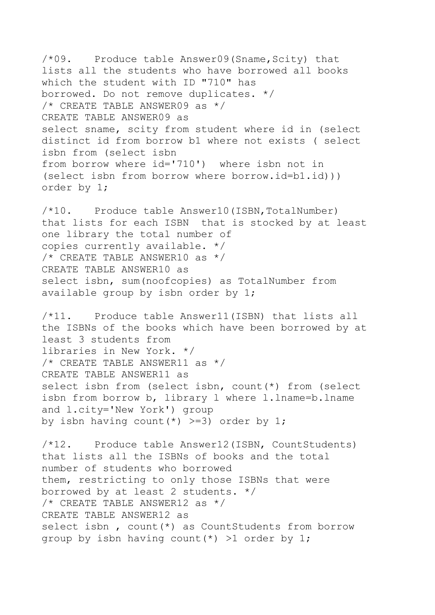$/*09.$  Produce table Answer09 (Sname, Scity) that lists all the students who have borrowed all books which the student with ID "710" has borrowed. Do not remove duplicates. \*/ /\* CREATE TABLE ANSWER09 as \*/ CREATE TABLE ANSWER09 as select sname, scity from student where id in (select distinct id from borrow b1 where not exists ( select isbn from (select isbn from borrow where id='710') where isbn not in (select isbn from borrow where borrow.id=b1.id))) order by 1;

/\*10. Produce table Answer10(ISBN,TotalNumber) that lists for each ISBN that is stocked by at least one library the total number of copies currently available. \*/  $/*$  CREATE TABLE ANSWER10 as  $*/$ CREATE TABLE ANSWER10 as select isbn, sum(noofcopies) as TotalNumber from available group by isbn order by 1;

/\*11. Produce table Answer11(ISBN) that lists all the ISBNs of the books which have been borrowed by at least 3 students from libraries in New York. \*/ /\* CREATE TABLE ANSWER11 as \*/ CREATE TABLE ANSWER11 as select isbn from (select isbn, count(\*) from (select isbn from borrow b, library l where l.lname=b.lname and l.city='New York') group by isbn having count  $(*)$  >=3) order by 1;

/\*12. Produce table Answer12(ISBN, CountStudents) that lists all the ISBNs of books and the total number of students who borrowed them, restricting to only those ISBNs that were borrowed by at least 2 students. \*/  $/*$  CREATE TABLE ANSWER12 as  $*/$ CREATE TABLE ANSWER12 as select isbn, count(\*) as CountStudents from borrow group by isbn having count  $(*)$  >1 order by 1;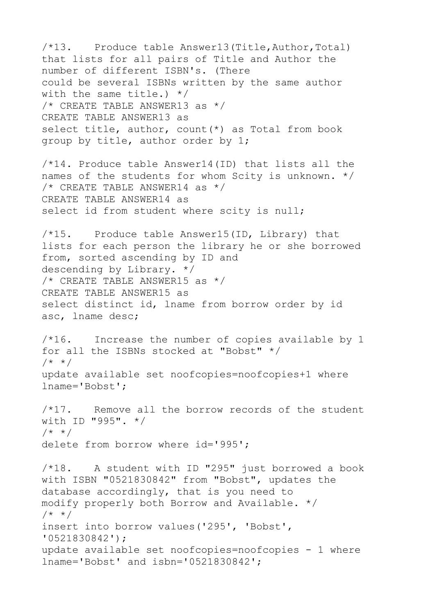/\*13. Produce table Answer13(Title,Author,Total) that lists for all pairs of Title and Author the number of different ISBN's. (There could be several ISBNs written by the same author with the same title.) \*/ /\* CREATE TABLE ANSWER13 as \*/ CREATE TABLE ANSWER13 as select title, author, count(\*) as Total from book group by title, author order by 1; /\*14. Produce table Answer14(ID) that lists all the names of the students for whom Scity is unknown. \*/  $/*$  CREATE TABLE ANSWER14 as  $*/$ CREATE TABLE ANSWER14 as select id from student where scity is null; /\*15. Produce table Answer15(ID, Library) that lists for each person the library he or she borrowed from, sorted ascending by ID and descending by Library. \*/ /\* CREATE TABLE ANSWER15 as \*/ CREATE TABLE ANSWER15 as select distinct id, lname from borrow order by id asc, lname desc; /\*16. Increase the number of copies available by 1 for all the ISBNs stocked at "Bobst" \*/ /\* \*/ update available set noofcopies=noofcopies+1 where lname='Bobst';  $/*17.$  Remove all the borrow records of the student with ID "995". \*/ /\* \*/ delete from borrow where id='995'; /\*18. A student with ID "295" just borrowed a book with ISBN "0521830842" from "Bobst", updates the database accordingly, that is you need to modify properly both Borrow and Available. \*/ /\* \*/ insert into borrow values('295', 'Bobst', '0521830842'); update available set noofcopies=noofcopies - 1 where lname='Bobst' and isbn='0521830842';